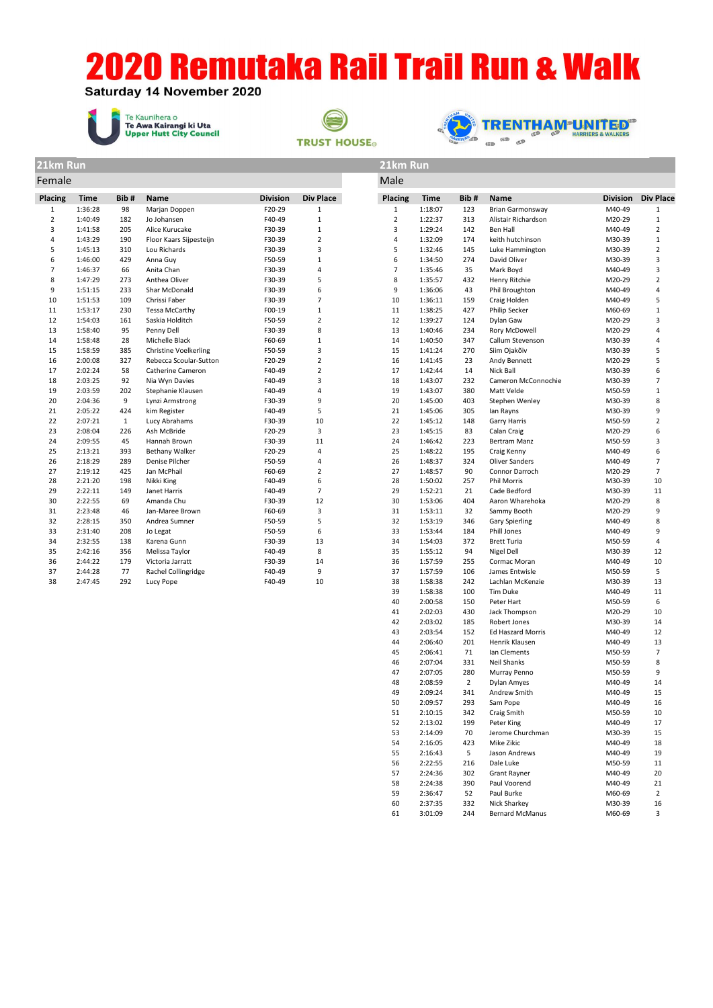**Saturday 14 November 2020** 

Te Kaunihera o<br>**Te Awa Kairangi ki Uta**<br>**Upper Hutt City Council** 





| 21km Run                |             |              |                              |                 |                  | 21km Run       |             |      |                         |                 |                  |
|-------------------------|-------------|--------------|------------------------------|-----------------|------------------|----------------|-------------|------|-------------------------|-----------------|------------------|
| Female                  |             |              |                              |                 |                  | Male           |             |      |                         |                 |                  |
| Placing                 | <b>Time</b> | Bib#         | <b>Name</b>                  | <b>Division</b> | <b>Div Place</b> | Placing        | <b>Time</b> | Bib# | <b>Name</b>             | <b>Division</b> | <b>Div Place</b> |
| $\mathbf{1}$            | 1:36:28     | 98           | Marjan Doppen                | F20-29          | $\mathbf{1}$     | $\mathbf{1}$   | 1:18:07     | 123  | <b>Brian Garmonsway</b> | M40-49          | 1                |
| $\overline{2}$          | 1:40:49     | 182          | Jo Johansen                  | F40-49          | $\mathbf{1}$     | $\overline{2}$ | 1:22:37     | 313  | Alistair Richardson     | M20-29          | $1\,$            |
| 3                       | 1:41:58     | 205          | Alice Kurucake               | F30-39          | $\mathbf{1}$     | 3              | 1:29:24     | 142  | <b>Ben Hall</b>         | M40-49          | $\overline{2}$   |
| $\overline{\mathbf{4}}$ | 1:43:29     | 190          | Floor Kaars Sijpesteijn      | F30-39          | $\overline{2}$   | $\overline{a}$ | 1:32:09     | 174  | keith hutchinson        | M30-39          | $1\,$            |
| 5                       | 1:45:13     | 310          | Lou Richards                 | F30-39          | 3                | 5              | 1:32:46     | 145  | Luke Hammington         | M30-39          | $\overline{2}$   |
| 6                       | 1:46:00     | 429          | Anna Guy                     | F50-59          | $\mathbf{1}$     | 6              | 1:34:50     | 274  | David Oliver            | M30-39          | 3                |
| $\overline{7}$          | 1:46:37     | 66           | Anita Chan                   | F30-39          | 4                | $\overline{7}$ | 1:35:46     | 35   | Mark Boyd               | M40-49          | 3                |
| 8                       | 1:47:29     | 273          | Anthea Oliver                | F30-39          | 5                | 8              | 1:35:57     | 432  | Henry Ritchie           | M20-29          | $\overline{2}$   |
| 9                       | 1:51:15     | 233          | Shar McDonald                | F30-39          | 6                | 9              | 1:36:06     | 43   | Phil Broughton          | M40-49          | $\overline{4}$   |
| 10                      | 1:51:53     | 109          | Chrissi Faber                | F30-39          | $\overline{7}$   | 10             | 1:36:11     | 159  | Craig Holden            | M40-49          | 5                |
| 11                      | 1:53:17     | 230          | <b>Tessa McCarthy</b>        | F00-19          | $\mathbf 1$      | 11             | 1:38:25     | 427  | Philip Secker           | M60-69          | $\mathbf 1$      |
| 12                      | 1:54:03     | 161          | Saskia Holditch              | F50-59          | $\overline{2}$   | 12             | 1:39:27     | 124  | Dylan Gaw               | M20-29          | 3                |
| 13                      | 1:58:40     | 95           | Penny Dell                   | F30-39          | 8                | 13             | 1:40:46     | 234  | Rory McDowell           | M20-29          | $\sqrt{4}$       |
| 14                      | 1:58:48     | 28           | Michelle Black               | F60-69          | $\mathbf{1}$     | 14             | 1:40:50     | 347  | Callum Stevenson        | M30-39          |                  |
| 15                      | 1:58:59     | 385          | <b>Christine Voelkerling</b> | F50-59          | 3                | 15             | 1:41:24     | 270  | Siim Ojakõiv            | M30-39          |                  |
| 16                      | 2:00:08     | 327          | Rebecca Scoular-Sutton       | F20-29          | $\overline{2}$   | 16             | 1:41:45     | 23   | Andy Bennett            | M20-29          |                  |
| 17                      | 2:02:24     | 58           | Catherine Cameron            | F40-49          | $\overline{2}$   | 17             | 1:42:44     | 14   | Nick Ball               | M30-39          |                  |
| 18                      | 2:03:25     | 92           | Nia Wyn Davies               | F40-49          | 3                | 18             | 1:43:07     | 232  | Cameron McConnochie     | M30-39          |                  |
| 19                      | 2:03:59     | 202          | Stephanie Klausen            | F40-49          | 4                | 19             | 1:43:07     | 380  | Matt Velde              | M50-59          |                  |
| 20                      | 2:04:36     | 9            | Lynzi Armstrong              | F30-39          | 9                | 20             | 1:45:00     | 403  | Stephen Wenley          | M30-39          |                  |
| 21                      | 2:05:22     | 424          | kim Register                 | F40-49          | 5                | 21             | 1:45:06     | 305  | lan Rayns               | M30-39          |                  |
| 22                      | 2:07:21     | $\mathbf{1}$ | Lucy Abrahams                | F30-39          | 10               | 22             | 1:45:12     | 148  | Garry Harris            | M50-59          |                  |
| 23                      | 2:08:04     | 226          | Ash McBride                  | F20-29          | $\overline{3}$   | 23             | 1:45:15     | 83   | Calan Craig             | M20-29          |                  |
| 24                      | 2:09:55     | 45           | Hannah Brown                 | F30-39          | 11               | 24             | 1:46:42     | 223  | Bertram Manz            | M50-59          |                  |
| 25                      | 2:13:21     | 393          | <b>Bethany Walker</b>        | F20-29          | $\overline{4}$   | 25             | 1:48:22     | 195  | Craig Kenny             | M40-49          |                  |
| 26                      | 2:18:29     | 289          | Denise Pilcher               | F50-59          | 4                | 26             | 1:48:37     | 324  | <b>Oliver Sanders</b>   | M40-49          | $\overline{7}$   |
| 27                      | 2:19:12     | 425          | Jan McPhail                  | F60-69          | $\overline{2}$   | 27             | 1:48:57     | 90   | Connor Darroch          | M20-29          |                  |
| 28                      | 2:21:20     | 198          | Nikki King                   | F40-49          | 6                | 28             | 1:50:02     | 257  | <b>Phil Morris</b>      | M30-39          | 10               |
| 29                      | 2:22:11     | 149          | Janet Harris                 | F40-49          | $\overline{7}$   | 29             | 1:52:21     | 21   | Cade Bedford            | M30-39          | 11               |
| 30                      | 2:22:55     | 69           | Amanda Chu                   | F30-39          | 12               | 30             | 1:53:06     | 404  | Aaron Wharehoka         | M20-29          | 8                |
| 31                      | 2:23:48     | 46           | Jan-Maree Brown              | F60-69          | 3                | 31             | 1:53:11     | 32   | Sammy Booth             | M20-29          |                  |
| 32                      | 2:28:15     | 350          | Andrea Sumner                | F50-59          | 5                | 32             | 1:53:19     | 346  | <b>Gary Spierling</b>   | M40-49          |                  |
| 33                      | 2:31:40     | 208          | Jo Legat                     | F50-59          | 6                | 33             | 1:53:44     | 184  | Phill Jones             | M40-49          |                  |
| 34                      | 2:32:55     | 138          | Karena Gunn                  | F30-39          | 13               | 34             | 1:54:03     | 372  | <b>Brett Turia</b>      | M50-59          |                  |
| 35                      | 2:42:16     | 356          | Melissa Taylor               | F40-49          | 8                | 35             | 1:55:12     | 94   | Nigel Dell              | M30-39          | 12               |
| 36                      | 2:44:22     | 179          | Victoria Jarratt             | F30-39          | 14               | 36             | 1:57:59     | 255  | Cormac Moran            | M40-49          | 10               |
| 37                      | 2:44:28     | 77           | Rachel Collingridge          | F40-49          | 9                | 37             | 1:57:59     | 106  | James Entwisle          | M50-59          |                  |
| 38                      | 2:47:45     | 292          | Lucy Pope                    | F40-49          | 10               | 38             | 1:58:38     | 242  | Lachlan McKenzie        | M30-39          | 13               |
|                         |             |              |                              |                 |                  | 39             | 1:58:38     | 100  | Tim Duke                | M40-49          | 11               |
|                         |             |              |                              |                 |                  | 40             | 2:00:58     | 150  | Peter Hart              | M50-59          |                  |
|                         |             |              |                              |                 |                  | 41             | 2:02:03     | 430  | Jack Thompson           | M20-29          | 6<br>10          |

42

43

44

45

46

 $47$ 

48

49

50

 $51$ 

52

53

54

55

56

57

58

59

60

61

 $2:03:02$ 

2:03:54

2:06:40

 $2:06:41$ 

 $2:07:04$ 

 $2:07:05$ 

2:08:59

2:09:24

2:09:57

 $2:10:15$ 

 $2:13:02$ 

2:14:09

2:16:05

 $2:16:43$ 

 $2:22:55$ 

2:24:36

2:24:38

2:36:47

2:37:35

 $3:01:09$ 

185

152

201

 $71$ 

331

280

 $\overline{2}$ 

341

293

342

199

 $70\,$ 

423

 $5<sub>5</sub>$ 

216

302

390

 $52$ 

332

244

Henrik Klausen

lan Clements

Murray Penno

Dylan Amyes

Andrew Smith

Sam Pope

Craig Smith

Peter King

Mike Zikic

Dale Luke

Jason Andrews

**Grant Rayner** 

Paul Voorend

Paul Burke

Nick Sharkey

Bernard McManus

Jerome Churchman

Neil Shanks

Ed Haszard Morris

Robert Jones

14

 $12$ 

13

 $\overline{7}$ 

8

 $\mathsf g$ 

14

15

16

10

17

15

18

19

11

 $20$ 

 $21$ 

 $\overline{c}$ 

16

 $\mathsf 3$ 

M30-39

M40-49

M40-49

M50-59

M50-59

M50-59

M40-49

M40-49

M40-49

M50-59

M40-49

M30-39

M40-49

M40-49

M50-59

M40-49

M40-49

M60-69

M30-39

M60-69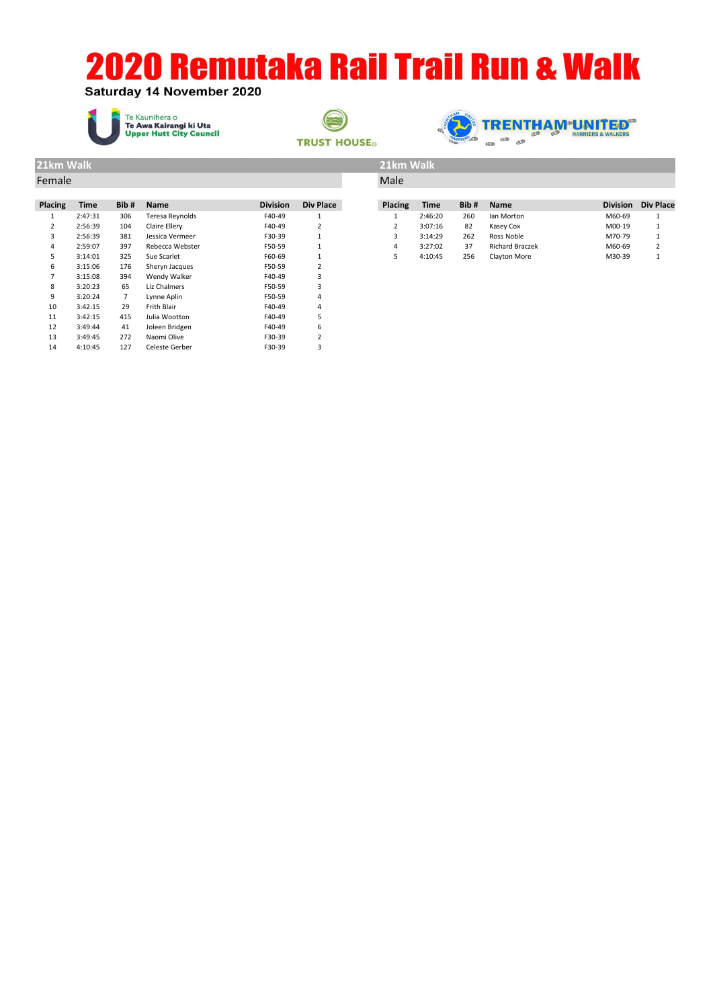#### Saturday 14 November 2020







| 21km Walk |             |                |                 |                 | 21km Walk        |                |             |      |                        |        |                           |
|-----------|-------------|----------------|-----------------|-----------------|------------------|----------------|-------------|------|------------------------|--------|---------------------------|
| Female    |             |                |                 |                 | Male             |                |             |      |                        |        |                           |
|           |             |                |                 |                 |                  |                |             |      |                        |        |                           |
| Placing   | <b>Time</b> | Bib#           | Name            | <b>Division</b> | <b>Div Place</b> | <b>Placing</b> | <b>Time</b> | Bib# | Name                   |        | <b>Division</b> Div Place |
|           | 2:47:31     | 306            | Teresa Reynolds | F40-49          | 1                | 1              | 2:46:20     | 260  | lan Morton             | M60-69 |                           |
| 2         | 2:56:39     | 104            | Claire Ellery   | F40-49          | $\overline{2}$   | $\overline{2}$ | 3:07:16     | 82   | Kasey Cox              | M00-19 |                           |
| 3         | 2:56:39     | 381            | Jessica Vermeer | F30-39          |                  | 3              | 3:14:29     | 262  | Ross Noble             | M70-79 |                           |
| 4         | 2:59:07     | 397            | Rebecca Webster | F50-59          |                  | 4              | 3:27:02     | 37   | <b>Richard Braczek</b> | M60-69 | 2                         |
| 5         | 3:14:01     | 325            | Sue Scarlet     | F60-69          |                  | 5              | 4:10:45     | 256  | Clayton More           | M30-39 | 1                         |
| 6         | 3:15:06     | 176            | Sheryn Jacques  | F50-59          | 2                |                |             |      |                        |        |                           |
| 7         | 3:15:08     | 394            | Wendy Walker    | F40-49          | 3                |                |             |      |                        |        |                           |
| 8         | 3:20:23     | 65             | Liz Chalmers    | F50-59          | 3                |                |             |      |                        |        |                           |
| 9         | 3:20:24     | $\overline{7}$ | Lynne Aplin     | F50-59          | 4                |                |             |      |                        |        |                           |
| 10        | 3:42:15     | 29             | Frith Blair     | F40-49          | 4                |                |             |      |                        |        |                           |
| 11        | 3:42:15     | 415            | Julia Wootton   | F40-49          | 5                |                |             |      |                        |        |                           |
| 12        | 3:49:44     | 41             | Joleen Bridgen  | F40-49          | 6                |                |             |      |                        |        |                           |
| 13        | 3:49:45     | 272            | Naomi Olive     | F30-39          | 2                |                |             |      |                        |        |                           |
| 14        | 4:10:45     | 127            | Celeste Gerber  | F30-39          | 3                |                |             |      |                        |        |                           |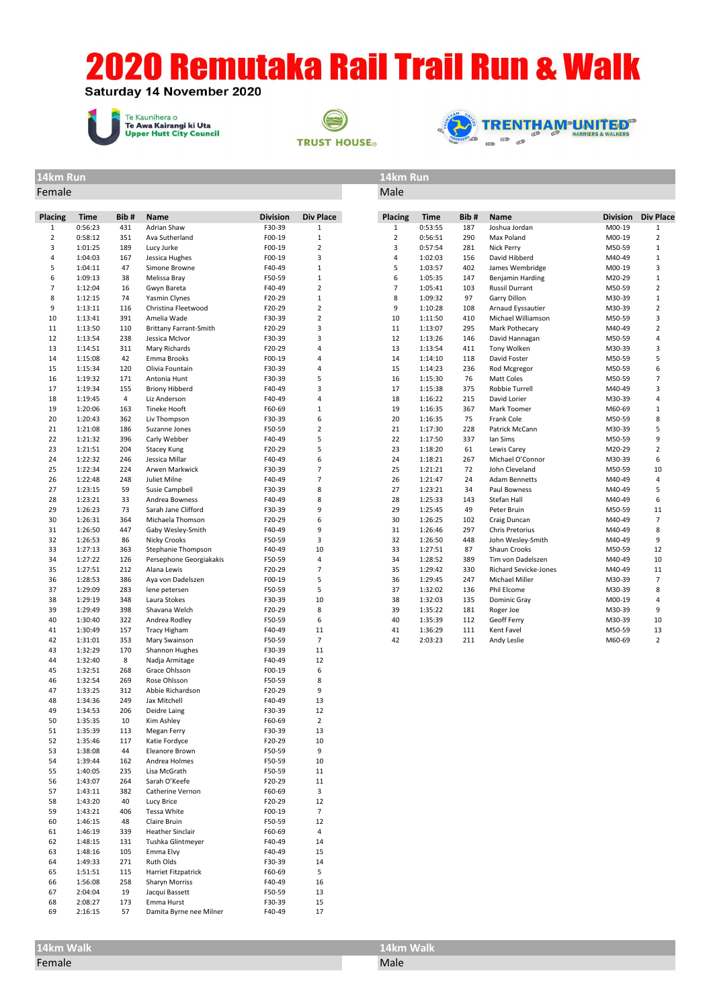Saturday 14 November 2020







**14km Run 14km Run** Female Male

| Placing        | Time               | Bib#       | Name                                    | <b>Division</b>  | Div Place            | <b>Placing</b> | Time               | Bib#       | Name                                | <b>Division</b>  | <b>Div Place</b>    |
|----------------|--------------------|------------|-----------------------------------------|------------------|----------------------|----------------|--------------------|------------|-------------------------------------|------------------|---------------------|
| $\mathbf{1}$   | 0:56:23            | 431        | Adrian Shaw                             | F30-39           | $1\,$                | $\mathbf{1}$   | 0:53:55            | 187        | Joshua Jordan                       | M00-19           | $\mathbf{1}$        |
| $\mathbf 2$    | 0:58:12            | 351        | Ava Sutherland                          | F00-19           | $\mathbf 1$          | $\overline{2}$ | 0:56:51            | 290        | Max Poland                          | M00-19           | $\overline{2}$      |
| 3              | 1:01:25            | 189        | Lucy Jurke                              | F00-19           | $\mathbf 2$          | 3              | 0:57:54            | 281        | Nick Perry                          | M50-59           | $\mathbf{1}$        |
| $\overline{4}$ | 1:04:03            | 167<br>47  | Jessica Hughes<br>Simone Browne         | F00-19           | 3                    | 4              | 1:02:03            | 156        | David Hibberd                       | M40-49           | $\mathbf 1$<br>3    |
| 5<br>6         | 1:04:11<br>1:09:13 | 38         | Melissa Bray                            | F40-49<br>F50-59 | $\mathbf 1$<br>$1\,$ | 5<br>6         | 1:03:57<br>1:05:35 | 402<br>147 | James Wembridge<br>Benjamin Harding | M00-19<br>M20-29 | $\mathbf{1}$        |
| $\overline{7}$ | 1:12:04            | 16         | Gwyn Bareta                             | F40-49           | $\overline{2}$       | 7              | 1:05:41            | 103        | <b>Russil Durrant</b>               | M50-59           | $\overline{2}$      |
| 8              | 1:12:15            | 74         | Yasmin Clynes                           | F20-29           | $1\,$                | 8              | 1:09:32            | 97         | Garry Dillon                        | M30-39           | $\mathbf{1}$        |
| 9              | 1:13:11            | 116        | Christina Fleetwood                     | F20-29           | $\overline{2}$       | 9              | 1:10:28            | 108        | Arnaud Eyssautier                   | M30-39           | $\overline{2}$      |
| 10             | 1:13:41            | 391        | Amelia Wade                             | F30-39           | $\overline{2}$       | 10             | 1:11:50            | 410        | Michael Williamson                  | M50-59           | 3                   |
| 11             | 1:13:50            | 110        | <b>Brittany Farrant-Smith</b>           | F20-29           | 3                    | 11             | 1:13:07            | 295        | Mark Pothecary                      | M40-49           | $\overline{2}$      |
| 12             | 1:13:54            | 238        | Jessica McIvor                          | F30-39           | 3                    | 12             | 1:13:26            | 146        | David Hannagan                      | M50-59           | $\overline{a}$      |
| 13             | 1:14:51            | 311        | Mary Richards                           | F20-29           | 4                    | 13             | 1:13:54            | 411        | Tony Wolken                         | M30-39           | 3                   |
| 14             | 1:15:08            | 42         | Emma Brooks                             | F00-19           | 4                    | 14             | 1:14:10            | 118        | David Foster                        | M50-59           | 5                   |
| 15             | 1:15:34            | 120<br>171 | Olivia Fountain                         | F30-39           | 4<br>5               | 15             | 1:14:23            | 236        | Rod Mcgregor                        | M50-59           | 6<br>$\overline{7}$ |
| 16<br>17       | 1:19:32<br>1:19:34 | 155        | Antonia Hunt<br><b>Briony Hibberd</b>   | F30-39<br>F40-49 | 3                    | 16<br>17       | 1:15:30<br>1:15:38 | 76<br>375  | Matt Coles<br>Robbie Turrell        | M50-59<br>M40-49 | 3                   |
| 18             | 1:19:45            | 4          | Liz Anderson                            | F40-49           | 4                    | 18             | 1:16:22            | 215        | David Lorier                        | M30-39           | 4                   |
| 19             | 1:20:06            | 163        | <b>Tineke Hooft</b>                     | F60-69           | $\mathbf 1$          | 19             | 1:16:35            | 367        | Mark Toomer                         | M60-69           | $\mathbf{1}$        |
| 20             | 1:20:43            | 362        | Liv Thompson                            | F30-39           | 6                    | 20             | 1:16:35            | 75         | Frank Cole                          | M50-59           | 8                   |
| 21             | 1:21:08            | 186        | Suzanne Jones                           | F50-59           | $\overline{2}$       | 21             | 1:17:30            | 228        | Patrick McCann                      | M30-39           | 5                   |
| 22             | 1:21:32            | 396        | Carly Webber                            | F40-49           | 5                    | 22             | 1:17:50            | 337        | lan Sims                            | M50-59           | 9                   |
| 23             | 1:21:51            | 204        | <b>Stacey Kung</b>                      | F20-29           | 5                    | 23             | 1:18:20            | 61         | Lewis Carey                         | M20-29           | $\overline{2}$      |
| 24             | 1:22:32            | 246        | Jessica Millar                          | F40-49           | 6                    | 24             | 1:18:21            | 267        | Michael O'Connor                    | M30-39           | 6                   |
| 25             | 1:22:34            | 224        | Arwen Markwick                          | F30-39           | $\overline{7}$       | 25             | 1:21:21            | 72         | John Cleveland                      | M50-59           | 10                  |
| 26             | 1:22:48            | 248        | Juliet Milne                            | F40-49           | $\overline{7}$       | 26             | 1:21:47            | 24         | <b>Adam Bennetts</b>                | M40-49           | 4                   |
| 27<br>28       | 1:23:15<br>1:23:21 | 59<br>33   | Susie Campbell<br>Andrea Bowness        | F30-39<br>F40-49 | 8<br>8               | 27<br>28       | 1:23:21<br>1:25:33 | 34<br>143  | Paul Bowness<br>Stefan Hall         | M40-49<br>M40-49 | 5<br>6              |
| 29             | 1:26:23            | 73         | Sarah Jane Clifford                     | F30-39           | 9                    | 29             | 1:25:45            | 49         | Peter Bruin                         | M50-59           | 11                  |
| 30             | 1:26:31            | 364        | Michaela Thomson                        | F20-29           | 6                    | 30             | 1:26:25            | 102        | Craig Duncan                        | M40-49           | $\overline{7}$      |
| 31             | 1:26:50            | 447        | Gaby Wesley-Smith                       | F40-49           | 9                    | 31             | 1:26:46            | 297        | Chris Pretorius                     | M40-49           | 8                   |
| 32             | 1:26:53            | 86         | Nicky Crooks                            | F50-59           | 3                    | 32             | 1:26:50            | 448        | John Wesley-Smith                   | M40-49           | 9                   |
| 33             | 1:27:13            | 363        | Stephanie Thompson                      | F40-49           | 10                   | 33             | 1:27:51            | 87         | Shaun Crooks                        | M50-59           | 12                  |
| 34             | 1:27:22            | 126        | Persephone Georgiakakis                 | F50-59           | $\overline{4}$       | 34             | 1:28:52            | 389        | Tim von Dadelszen                   | M40-49           | 10                  |
| 35             | 1:27:51            | 212        | Alana Lewis                             | F20-29           | $\overline{7}$       | 35             | 1:29:42            | 330        | Richard Sevicke-Jones               | M40-49           | 11                  |
| 36             | 1:28:53            | 386        | Aya von Dadelszen                       | F00-19           | 5                    | 36             | 1:29:45            | 247        | Michael Miller                      | M30-39           | $\overline{7}$      |
| 37<br>38       | 1:29:09<br>1:29:19 | 283<br>348 | lene petersen<br>Laura Stokes           | F50-59<br>F30-39 | 5<br>10              | 37<br>38       | 1:32:02<br>1:32:03 | 136<br>135 | Phil Elcome<br>Dominic Gray         | M30-39<br>M00-19 | 8<br>4              |
| 39             | 1:29:49            | 398        | Shavana Welch                           | F20-29           | 8                    | 39             | 1:35:22            | 181        | Roger Joe                           | M30-39           | 9                   |
| 40             | 1:30:40            | 322        | Andrea Rodley                           | F50-59           | 6                    | 40             | 1:35:39            | 112        | Geoff Ferry                         | M30-39           | 10                  |
| 41             | 1:30:49            | 157        | <b>Tracy Higham</b>                     | F40-49           | 11                   | 41             | 1:36:29            | 111        | Kent Favel                          | M50-59           | 13                  |
| 42             | 1:31:01            | 353        | Mary Swainson                           | F50-59           | $\overline{7}$       | 42             | 2:03:23            | 211        | Andy Leslie                         | M60-69           | $\overline{2}$      |
| 43             | 1:32:29            | 170        | Shannon Hughes                          | F30-39           | 11                   |                |                    |            |                                     |                  |                     |
| 44             | 1:32:40            | 8          | Nadja Armitage                          | F40-49           | 12                   |                |                    |            |                                     |                  |                     |
| 45             | 1:32:51            | 268        | Grace Ohlsson                           | F00-19           | 6                    |                |                    |            |                                     |                  |                     |
| 46             | 1:32:54            | 269        | Rose Ohlsson                            | F50-59           | 8                    |                |                    |            |                                     |                  |                     |
| 47             | 1:33:25            | 312        | Abbie Richardson                        | F20-29           | 9                    |                |                    |            |                                     |                  |                     |
| 48<br>49       | 1:34:36<br>1:34:53 | 249<br>206 | Jax Mitchell<br>Deidre Laing            | F40-49<br>F30-39 | 13<br>12             |                |                    |            |                                     |                  |                     |
| 50             | 1:35:35            | 10         | Kim Ashley                              | F60-69           | $\overline{2}$       |                |                    |            |                                     |                  |                     |
| 51             | 1:35:39            | 113        | Megan Ferry                             | F30-39           | 13                   |                |                    |            |                                     |                  |                     |
| 52             | 1:35:46            | 117        | Katie Fordyce                           | F20-29           | 10                   |                |                    |            |                                     |                  |                     |
| 53             | 1:38:08            | 44         | Eleanore Brown                          | F50-59           | 9                    |                |                    |            |                                     |                  |                     |
| 54             | 1:39:44            | 162        | Andrea Holmes                           | F50-59           | 10                   |                |                    |            |                                     |                  |                     |
| 55             | 1:40:05            | 235        | Lisa McGrath                            | F50-59           | 11                   |                |                    |            |                                     |                  |                     |
| 56             | 1:43:07            | 264        | Sarah O'Keefe                           | F20-29           | 11                   |                |                    |            |                                     |                  |                     |
| 57             | 1:43:11            | 382        | Catherine Vernon                        | F60-69           | 3                    |                |                    |            |                                     |                  |                     |
| 58             | 1:43:20            | 40         | Lucy Brice                              | F20-29           | 12                   |                |                    |            |                                     |                  |                     |
| 59             | 1:43:21            | 406        | Tessa White                             | F00-19           | $\overline{7}$       |                |                    |            |                                     |                  |                     |
| 60<br>61       | 1:46:15<br>1:46:19 | 48<br>339  | Claire Bruin<br><b>Heather Sinclair</b> | F50-59<br>F60-69 | 12<br>4              |                |                    |            |                                     |                  |                     |
| 62             | 1:48:15            | 131        | Tushka Glintmeyer                       | F40-49           | 14                   |                |                    |            |                                     |                  |                     |
| 63             | 1:48:16            | 105        | Emma Elvy                               | F40-49           | 15                   |                |                    |            |                                     |                  |                     |
| 64             | 1:49:33            | 271        | Ruth Olds                               | F30-39           | 14                   |                |                    |            |                                     |                  |                     |
| 65             | 1:51:51            | 115        | Harriet Fitzpatrick                     | F60-69           | 5                    |                |                    |            |                                     |                  |                     |
| 66             | 1:56:08            | 258        | <b>Sharyn Morriss</b>                   | F40-49           | 16                   |                |                    |            |                                     |                  |                     |
| 67             | 2:04:04            | 19         | Jacqui Bassett                          | F50-59           | 13                   |                |                    |            |                                     |                  |                     |
| 68             | 2:08:27            | 173        | Emma Hurst                              | F30-39           | 15                   |                |                    |            |                                     |                  |                     |

 2:08:27 173 Emma Hurst F30-39 15 57 Damita Byrne nee Milner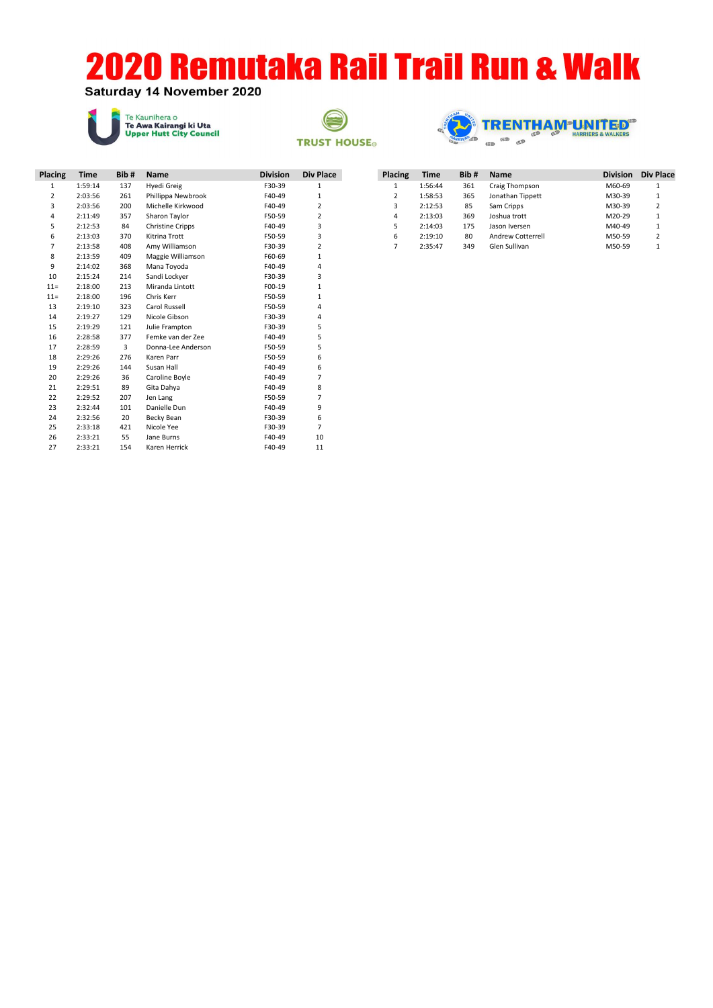#### Saturday 14 November 2020







| Placing        | <b>Time</b> | Bib# | <b>Name</b>             | <b>Division</b> | Div Place      |
|----------------|-------------|------|-------------------------|-----------------|----------------|
| $\mathbf{1}$   | 1:59:14     | 137  | Hyedi Greig             | F30-39          | 1              |
| $\overline{2}$ | 2:03:56     | 261  | Phillippa Newbrook      | F40-49          | $\mathbf{1}$   |
| 3              | 2:03:56     | 200  | Michelle Kirkwood       | F40-49          | $\overline{2}$ |
| 4              | 2:11:49     | 357  | Sharon Taylor           | F50-59          | $\overline{2}$ |
| 5              | 2:12:53     | 84   | <b>Christine Cripps</b> | F40-49          | 3              |
| 6              | 2:13:03     | 370  | Kitrina Trott           | F50-59          | 3              |
| 7              | 2:13:58     | 408  | Amy Williamson          | F30-39          | $\overline{2}$ |
| 8              | 2:13:59     | 409  | Maggie Williamson       | F60-69          | $\mathbf{1}$   |
| 9              | 2:14:02     | 368  | Mana Toyoda             | F40-49          | 4              |
| 10             | 2:15:24     | 214  | Sandi Lockyer           | F30-39          | 3              |
| $11 =$         | 2:18:00     | 213  | Miranda Lintott         | F00-19          | $\mathbf{1}$   |
| $11 =$         | 2:18:00     | 196  | Chris Kerr              | F50-59          | $\mathbf{1}$   |
| 13             | 2:19:10     | 323  | Carol Russell           | F50-59          | 4              |
| 14             | 2:19:27     | 129  | Nicole Gibson           | F30-39          | 4              |
| 15             | 2:19:29     | 121  | Julie Frampton          | F30-39          | 5              |
| 16             | 2:28:58     | 377  | Femke van der Zee       | F40-49          | 5              |
| 17             | 2:28:59     | 3    | Donna-Lee Anderson      | F50-59          | 5              |
| 18             | 2:29:26     | 276  | Karen Parr              | F50-59          | 6              |
| 19             | 2:29:26     | 144  | Susan Hall              | F40-49          | 6              |
| 20             | 2:29:26     | 36   | Caroline Boyle          | F40-49          | $\overline{7}$ |
| 21             | 2:29:51     | 89   | Gita Dahya              | F40-49          | 8              |
| 22             | 2:29:52     | 207  | Jen Lang                | F50-59          | $\overline{7}$ |
| 23             | 2:32:44     | 101  | Danielle Dun            | F40-49          | 9              |
| 24             | 2:32:56     | 20   | Becky Bean              | F30-39          | 6              |
| 25             | 2:33:18     | 421  | Nicole Yee              | F30-39          | $\overline{7}$ |
| 26             | 2:33:21     | 55   | Jane Burns              | F40-49          | 10             |
| 27             | 2:33:21     | 154  | Karen Herrick           | F40-49          | 11             |

| <b>Placing</b> | Time    | Bib# | <b>Name</b>       | <b>Division</b> | Div Place      |
|----------------|---------|------|-------------------|-----------------|----------------|
| 1              | 1:56:44 | 361  | Craig Thompson    | M60-69          | 1              |
| $\overline{2}$ | 1:58:53 | 365  | Jonathan Tippett  | M30-39          | $\mathbf{1}$   |
| 3              | 2:12:53 | 85   | Sam Cripps        | M30-39          | $\overline{2}$ |
| 4              | 2:13:03 | 369  | Joshua trott      | M20-29          | 1              |
| 5              | 2:14:03 | 175  | Jason Iversen     | M40-49          | 1              |
| 6              | 2:19:10 | 80   | Andrew Cotterrell | M50-59          | $\overline{2}$ |
| 7              | 2:35:47 | 349  | Glen Sullivan     | M50-59          | 1              |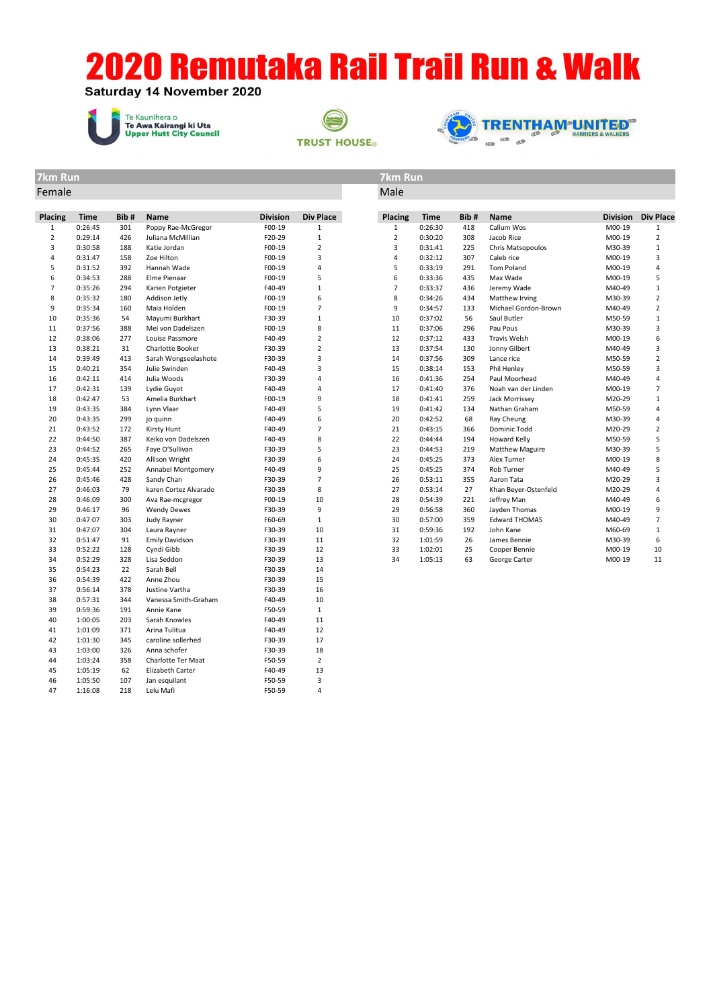Saturday 14 November 2020

1:16:08 218 Lelu Mafi F50-59 4







#### **7km Run 7km Run** Female Male

| Placing        | Time    | Bib # | <b>Name</b>           | <b>Division</b> | Div Place      | Placing        | Time    | Bib# | <b>Name</b>            | <b>Division</b> | <b>Div Place</b> |
|----------------|---------|-------|-----------------------|-----------------|----------------|----------------|---------|------|------------------------|-----------------|------------------|
| $\mathbf{1}$   | 0:26:45 | 301   | Poppy Rae-McGregor    | F00-19          | $\mathbf{1}$   | $\mathbf{1}$   | 0:26:30 | 418  | Callum Wos             | M00-19          | $\mathbf{1}$     |
| $\overline{2}$ | 0:29:14 | 426   | Juliana McMillian     | F20-29          | $\mathbf{1}$   | $\overline{2}$ | 0:30:20 | 308  | Jacob Rice             | M00-19          | $\overline{2}$   |
| 3              | 0:30:58 | 188   | Katie Jordan          | F00-19          | $\mathbf 2$    | 3              | 0:31:41 | 225  | Chris Matsopoulos      | M30-39          | $\mathbf 1$      |
| 4              | 0:31:47 | 158   | Zoe Hilton            | F00-19          | 3              | 4              | 0:32:12 | 307  | Caleb rice             | M00-19          | 3                |
| 5              | 0:31:52 | 392   | Hannah Wade           | F00-19          | $\overline{4}$ | 5              | 0:33:19 | 291  | <b>Tom Poland</b>      | M00-19          | $\sqrt{4}$       |
| 6              | 0:34:53 | 288   | Elme Pienaar          | F00-19          | 5              | 6              | 0:33:36 | 435  | Max Wade               | M00-19          | 5                |
| $\overline{7}$ | 0:35:26 | 294   | Karien Potgieter      | F40-49          | $\mathbf{1}$   | $\overline{7}$ | 0:33:37 | 436  | Jeremy Wade            | M40-49          | $1\,$            |
| 8              | 0:35:32 | 180   | Addison Jetly         | F00-19          | 6              | 8              | 0:34:26 | 434  | Matthew Irving         | M30-39          | $\overline{2}$   |
| 9              | 0:35:34 | 160   | Maia Holden           | F00-19          | $\overline{7}$ | 9              | 0:34:57 | 133  | Michael Gordon-Brown   | M40-49          | $\overline{2}$   |
| 10             | 0:35:36 | 54    | Mayumi Burkhart       | F30-39          | $\mathbf{1}$   | 10             | 0:37:02 | 56   | Saul Butler            | M50-59          | $\mathbf{1}$     |
| 11             | 0:37:56 | 388   | Mei von Dadelszen     | F00-19          | 8              | 11             | 0:37:06 | 296  | Pau Pous               | M30-39          | 3                |
| 12             | 0:38:06 | 277   | Louise Passmore       | F40-49          | $\overline{2}$ | 12             | 0:37:12 | 433  | <b>Travis Welsh</b>    | M00-19          | 6                |
| 13             | 0:38:21 | 31    | Charlotte Booker      | F30-39          | $\overline{2}$ | 13             | 0:37:54 | 130  | Jonny Gilbert          | M40-49          | 3                |
| 14             | 0:39:49 | 413   | Sarah Wongseelashote  | F30-39          | 3              | 14             | 0:37:56 | 309  | Lance rice             | M50-59          | $\overline{2}$   |
| 15             | 0:40:21 | 354   | Julie Swinden         | F40-49          | 3              | 15             | 0:38:14 | 153  | Phil Henley            | M50-59          | 3                |
| 16             | 0:42:11 | 414   | Julia Woods           | F30-39          | 4              | 16             | 0:41:36 | 254  | Paul Moorhead          | M40-49          | $\sqrt{4}$       |
| 17             | 0:42:31 | 139   | Lydie Guyot           | F40-49          | $\overline{4}$ | 17             | 0:41:40 | 376  | Noah van der Linden    | M00-19          | $\overline{7}$   |
| 18             | 0:42:47 | 53    | Amelia Burkhart       | F00-19          | 9              | 18             | 0:41:41 | 259  | Jack Morrissey         | M20-29          | $\mathbf{1}$     |
| 19             | 0:43:35 | 384   | Lynn Vlaar            | F40-49          | 5              | 19             | 0:41:42 | 134  | Nathan Graham          | M50-59          | $\sqrt{4}$       |
| 20             | 0:43:35 | 299   | jo quinn              | F40-49          | 6              | 20             | 0:42:52 | 68   | Ray Cheung             | M30-39          | $\sqrt{4}$       |
| 21             | 0:43:52 | 172   | <b>Kirsty Hunt</b>    | F40-49          | $\overline{7}$ | 21             | 0:43:15 | 366  | Dominic Todd           | M20-29          | $\overline{2}$   |
| 22             | 0:44:50 | 387   | Keiko von Dadelszen   | F40-49          | 8              | 22             | 0:44:44 | 194  | Howard Kelly           | M50-59          | 5                |
| 23             | 0:44:52 | 265   | Faye O'Sullivan       | F30-39          | 5              | 23             | 0:44:53 | 219  | <b>Matthew Maguire</b> | M30-39          | 5                |
| 24             | 0:45:35 | 420   | Allison Wright        | F30-39          | 6              | 24             | 0:45:25 | 373  | Alex Turner            | M00-19          | 8                |
| 25             | 0:45:44 | 252   | Annabel Montgomery    | F40-49          | 9              | 25             | 0:45:25 | 374  | Rob Turner             | M40-49          | 5                |
| 26             | 0:45:46 | 428   | Sandy Chan            | F30-39          | $\overline{7}$ | 26             | 0:53:11 | 355  | Aaron Tata             | M20-29          | 3                |
| 27             | 0:46:03 | 79    | karen Cortez Alvarado | F30-39          | 8              | 27             | 0:53:14 | 27   | Khan Beyer-Ostenfeld   | M20-29          | 4                |
| 28             | 0:46:09 | 300   | Ava Rae-mcgregor      | F00-19          | 10             | 28             | 0:54:39 | 221  | Jeffrey Man            | M40-49          | 6                |
| 29             | 0:46:17 | 96    | <b>Wendy Dewes</b>    | F30-39          | 9              | 29             | 0:56:58 | 360  | Jayden Thomas          | M00-19          | 9                |
| 30             | 0:47:07 | 303   | Judy Rayner           | F60-69          | $\mathbf{1}$   | 30             | 0:57:00 | 359  | <b>Edward THOMAS</b>   | M40-49          | $\overline{7}$   |
| 31             | 0:47:07 | 304   | Laura Rayner          | F30-39          | 10             | 31             | 0:59:36 | 192  | John Kane              | M60-69          | $\mathbf{1}$     |
| 32             | 0:51:47 | 91    | <b>Emily Davidson</b> | F30-39          | 11             | 32             | 1:01:59 | 26   | James Bennie           | M30-39          | 6                |
| 33             | 0:52:22 | 128   | Cyndi Gibb            | F30-39          | 12             | 33             | 1:02:01 | 25   | Cooper Bennie          | M00-19          | 10               |
| 34             | 0:52:29 | 328   | Lisa Seddon           | F30-39          | 13             | 34             | 1:05:13 | 63   | George Carter          | M00-19          | 11               |
| 35             | 0:54:23 | 22    | Sarah Bell            | F30-39          | 14             |                |         |      |                        |                 |                  |
| 36             | 0:54:39 | 422   | Anne Zhou             | F30-39          | 15             |                |         |      |                        |                 |                  |
| 37             | 0:56:14 | 378   | Justine Vartha        | F30-39          | 16             |                |         |      |                        |                 |                  |
| 38             | 0:57:31 | 344   | Vanessa Smith-Graham  | F40-49          | 10             |                |         |      |                        |                 |                  |
| 39             | 0:59:36 | 191   | Annie Kane            | F50-59          | $\mathbf{1}$   |                |         |      |                        |                 |                  |
| 40             | 1:00:05 | 203   | Sarah Knowles         | F40-49          | 11             |                |         |      |                        |                 |                  |
| 41             | 1:01:09 | 371   | Arina Tulitua         | F40-49          | 12             |                |         |      |                        |                 |                  |
| 42             | 1:01:30 | 345   | caroline sollerhed    | F30-39          | 17             |                |         |      |                        |                 |                  |
| 43             | 1:03:00 | 326   | Anna schofer          | F30-39          | 18             |                |         |      |                        |                 |                  |
| 44             | 1:03:24 | 358   | Charlotte Ter Maat    | F50-59          | $\overline{2}$ |                |         |      |                        |                 |                  |
| 45             | 1:05:19 | 62    | Elizabeth Carter      | F40-49          | 13             |                |         |      |                        |                 |                  |
| 46             | 1:05:50 | 107   | Jan esquilant         | F50-59          | 3              |                |         |      |                        |                 |                  |
| 47             | 1.16.08 | 218   | Telu Mafi             | F50-59          | $\Delta$       |                |         |      |                        |                 |                  |